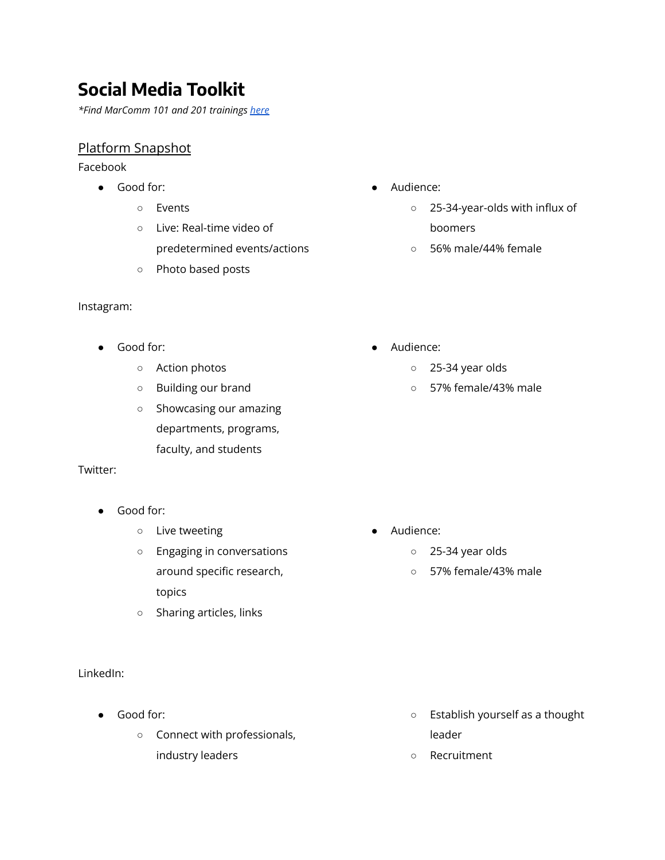# **Social Media Toolkit**

*\*Find MarComm 101 and 201 trainings [here](https://intranet.be.uw.edu/advancement/trainings/)*

# Platform Snapshot

Facebook

- Good for:
	- Events
	- Live: Real-time video of predetermined events/actions
	- Photo based posts

#### Instagram:

- Good for:
	- Action photos
	- Building our brand
	- Showcasing our amazing departments, programs, faculty, and students

#### Twitter:

- Good for:
	- Live tweeting
	- Engaging in conversations around specific research, topics
	- Sharing articles, links

#### LinkedIn:

- Good for:
	- Connect with professionals, industry leaders
- Audience:
	- 25-34-year-olds with influx of boomers
	- 56% male/44% female
- Audience:
	- 25-34 year olds
	- 57% female/43% male

- Audience:
	- 25-34 year olds
	- 57% female/43% male

- Establish yourself as a thought leader
- Recruitment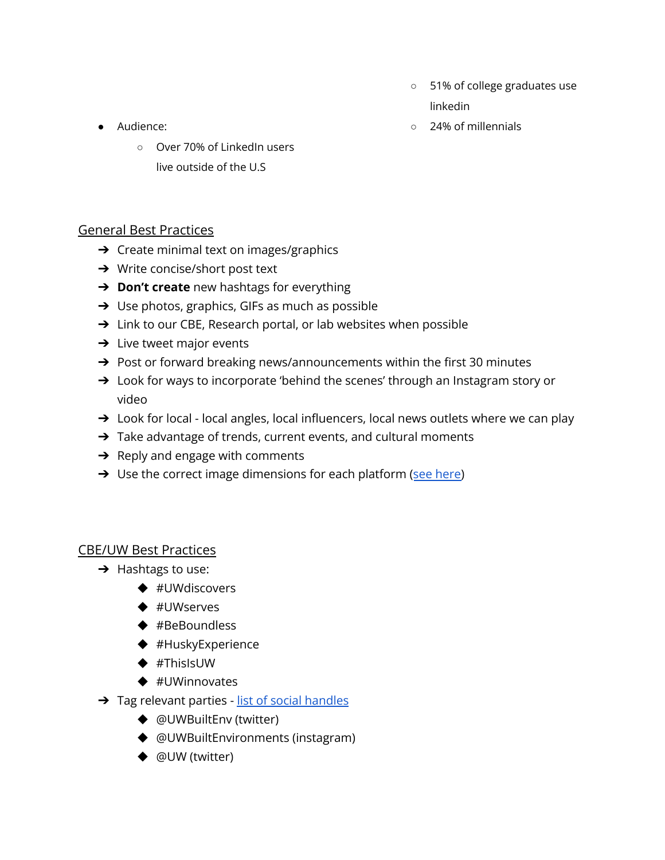○ 51% of college graduates use linkedin

○ 24% of millennials

- Audience:
	- Over 70% of LinkedIn users live outside of the U.S

# General Best Practices

- ➔ Create minimal text on images/graphics
- → Write concise/short post text
- ➔ **Don't create** new hashtags for everything
- ➔ Use photos, graphics, GIFs as much as possible
- → Link to our CBE, Research portal, or lab websites when possible
- $\rightarrow$  Live tweet major events
- ➔ Post or forward breaking news/announcements within the first 30 minutes
- → Look for ways to incorporate 'behind the scenes' through an Instagram story or video
- → Look for local local angles, local influencers, local news outlets where we can play
- → Take advantage of trends, current events, and cultural moments
- $\rightarrow$  Reply and engage with comments
- → Use the correct image dimensions for each platform (see [here\)](https://sproutsocial.com/insights/social-media-image-sizes-guide/)

# CBE/UW Best Practices

- $\rightarrow$  Hashtags to use:
	- ◆ #UWdiscovers
	- ◆ #UWserves
	- ◆ #BeBoundless
	- ◆ #HuskyExperience
	- ◆ #ThisIsUW
	- ◆ #UWinnovates
- **→** Tag relevant parties list of social [handles](https://docs.google.com/spreadsheets/d/17CVIB6DjsnE8I47tvJLPkN5qQZoRl8zR6Ro8kWdZbEQ/edit#gid=116078362)
	- ◆ @UWBuiltEnv (twitter)
	- ◆ @UWBuiltEnvironments (instagram)
	- ◆ @UW (twitter)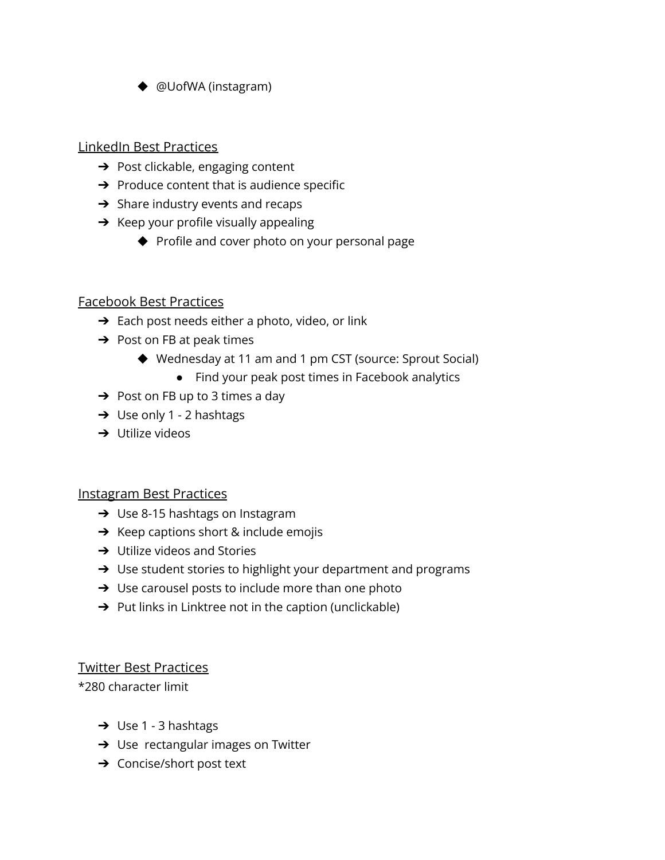◆ @UofWA (instagram)

## LinkedIn Best Practices

- **→** Post clickable, engaging content
- $\rightarrow$  Produce content that is audience specific
- $\rightarrow$  Share industry events and recaps
- $\rightarrow$  Keep your profile visually appealing
	- ◆ Profile and cover photo on your personal page

## Facebook Best Practices

- $\rightarrow$  Each post needs either a photo, video, or link
- $\rightarrow$  Post on FB at peak times
	- ◆ Wednesday at 11 am and 1 pm CST (source: Sprout Social)
		- Find your peak post times in Facebook analytics
- $\rightarrow$  Post on FB up to 3 times a day
- $\rightarrow$  Use only 1 2 hashtags
- $\rightarrow$  Utilize videos

## Instagram Best Practices

- → Use 8-15 hashtags on Instagram
- $\rightarrow$  Keep captions short & include emojis
- $\rightarrow$  Utilize videos and Stories
- ➔ Use student stories to highlight your department and programs
- $\rightarrow$  Use carousel posts to include more than one photo
- $\rightarrow$  Put links in Linktree not in the caption (unclickable)

## Twitter Best Practices

\*280 character limit

- $\rightarrow$  Use 1 3 hashtags
- $\rightarrow$  Use rectangular images on Twitter
- ➔ Concise/short post text